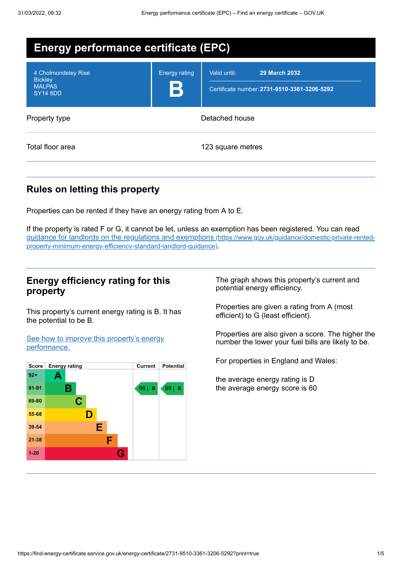| <b>Energy performance certificate (EPC)</b>                               |                           |                                                                                      |
|---------------------------------------------------------------------------|---------------------------|--------------------------------------------------------------------------------------|
| 4 Cholmondeley Rise<br><b>Bickley</b><br><b>MALPAS</b><br><b>SY14 8DD</b> | <b>Energy rating</b><br>В | Valid until:<br><b>29 March 2032</b><br>Certificate number: 2731-9510-3361-3206-5292 |
| Property type                                                             | Detached house            |                                                                                      |
| Total floor area                                                          |                           | 123 square metres                                                                    |

# **Rules on letting this property**

Properties can be rented if they have an energy rating from A to E.

If the property is rated F or G, it cannot be let, unless an exemption has been registered. You can read guidance for landlords on the regulations and exemptions (https://www.gov.uk/guidance/domestic-private-rented[property-minimum-energy-efficiency-standard-landlord-guidance\)](https://www.gov.uk/guidance/domestic-private-rented-property-minimum-energy-efficiency-standard-landlord-guidance).

## **Energy efficiency rating for this property**

This property's current energy rating is B. It has the potential to be B.

See how to improve this property's energy [performance.](#page-2-0)



The graph shows this property's current and potential energy efficiency.

Properties are given a rating from A (most efficient) to G (least efficient).

Properties are also given a score. The higher the number the lower your fuel bills are likely to be.

For properties in England and Wales:

the average energy rating is D the average energy score is 60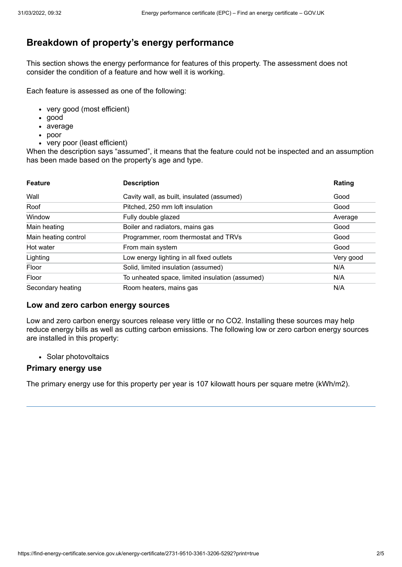## **Breakdown of property's energy performance**

This section shows the energy performance for features of this property. The assessment does not consider the condition of a feature and how well it is working.

Each feature is assessed as one of the following:

- very good (most efficient)
- good
- average
- poor
- very poor (least efficient)

When the description says "assumed", it means that the feature could not be inspected and an assumption has been made based on the property's age and type.

| <b>Feature</b>       | <b>Description</b>                              | Rating    |
|----------------------|-------------------------------------------------|-----------|
| Wall                 | Cavity wall, as built, insulated (assumed)      | Good      |
| Roof                 | Pitched, 250 mm loft insulation                 | Good      |
| Window               | Fully double glazed                             | Average   |
| Main heating         | Boiler and radiators, mains gas                 | Good      |
| Main heating control | Programmer, room thermostat and TRVs            | Good      |
| Hot water            | From main system                                | Good      |
| Lighting             | Low energy lighting in all fixed outlets        | Very good |
| Floor                | Solid, limited insulation (assumed)             | N/A       |
| Floor                | To unheated space, limited insulation (assumed) | N/A       |
| Secondary heating    | Room heaters, mains gas                         | N/A       |

#### **Low and zero carbon energy sources**

Low and zero carbon energy sources release very little or no CO2. Installing these sources may help reduce energy bills as well as cutting carbon emissions. The following low or zero carbon energy sources are installed in this property:

• Solar photovoltaics

### **Primary energy use**

The primary energy use for this property per year is 107 kilowatt hours per square metre (kWh/m2).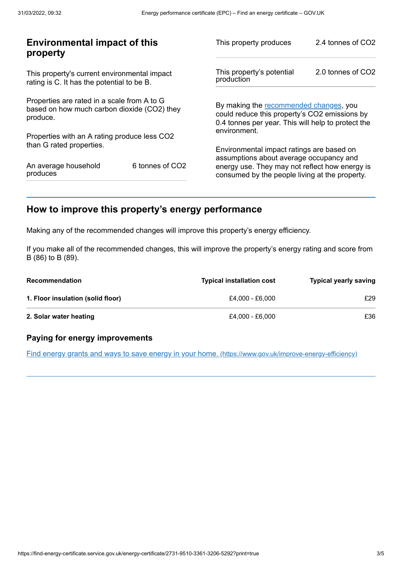| <b>Environmental impact of this</b><br>property                                                        |                             | This property produces                                                                                                                        | 2.4 tonnes of CO2 |
|--------------------------------------------------------------------------------------------------------|-----------------------------|-----------------------------------------------------------------------------------------------------------------------------------------------|-------------------|
| This property's current environmental impact<br>rating is C. It has the potential to be B.             |                             | This property's potential<br>production                                                                                                       | 2.0 tonnes of CO2 |
| Properties are rated in a scale from A to G<br>based on how much carbon dioxide (CO2) they<br>produce. |                             | By making the recommended changes, you<br>could reduce this property's CO2 emissions by<br>0.4 tonnes per year. This will help to protect the |                   |
| Properties with an A rating produce less CO2                                                           |                             | environment.                                                                                                                                  |                   |
| than G rated properties.                                                                               |                             | Environmental impact ratings are based on<br>assumptions about average occupancy and                                                          |                   |
| An average household<br>produces                                                                       | 6 tonnes of CO <sub>2</sub> | energy use. They may not reflect how energy is<br>consumed by the people living at the property.                                              |                   |
|                                                                                                        |                             |                                                                                                                                               |                   |

## <span id="page-2-0"></span>**How to improve this property's energy performance**

Making any of the recommended changes will improve this property's energy efficiency.

If you make all of the recommended changes, this will improve the property's energy rating and score from B (86) to B (89).

| <b>Recommendation</b>             | <b>Typical installation cost</b> | <b>Typical yearly saving</b> |
|-----------------------------------|----------------------------------|------------------------------|
| 1. Floor insulation (solid floor) | £4.000 - £6.000                  | £29                          |
| 2. Solar water heating            | £4.000 - £6.000                  | £36                          |

## **Paying for energy improvements**

Find energy grants and ways to save energy in your home. [\(https://www.gov.uk/improve-energy-efficiency\)](https://www.gov.uk/improve-energy-efficiency)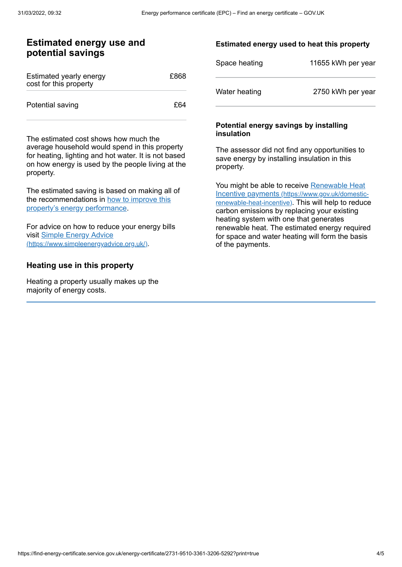## **Estimated energy use and potential savings**

| Estimated yearly energy<br>cost for this property | £868 |
|---------------------------------------------------|------|
| Potential saving                                  | £64  |

The estimated cost shows how much the average household would spend in this property for heating, lighting and hot water. It is not based on how energy is used by the people living at the property.

The estimated saving is based on making all of the [recommendations](#page-2-0) in how to improve this property's energy performance.

For advice on how to reduce your energy bills visit Simple Energy Advice [\(https://www.simpleenergyadvice.org.uk/\)](https://www.simpleenergyadvice.org.uk/).

## **Heating use in this property**

Heating a property usually makes up the majority of energy costs.

## **Estimated energy used to heat this property**

| Space heating | 11655 kWh per year |
|---------------|--------------------|
| Water heating | 2750 kWh per year  |

### **Potential energy savings by installing insulation**

The assessor did not find any opportunities to save energy by installing insulation in this property.

You might be able to receive Renewable Heat Incentive payments [\(https://www.gov.uk/domestic](https://www.gov.uk/domestic-renewable-heat-incentive)renewable-heat-incentive). This will help to reduce carbon emissions by replacing your existing heating system with one that generates renewable heat. The estimated energy required for space and water heating will form the basis of the payments.